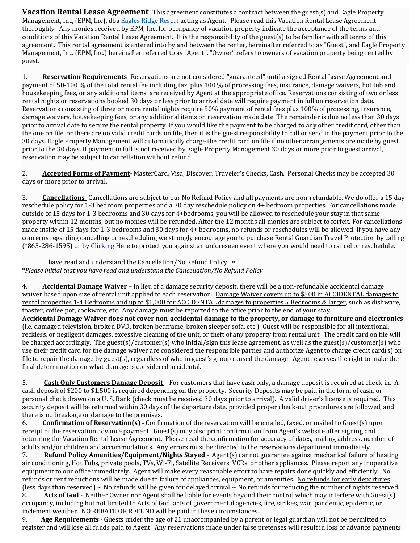**Vacation Rental Lease Agreement** This agreement constitutes a contract between the guest(s) and Eagle Property Management, Inc, (EPM, Inc), dba Eagles Ridge Resort acting as Agent. Please read this Vacation Rental Lease Agreement thoroughly. Any monies received by EPM, Inc. for occupancy of vacation property indicate the acceptance of the terms and conditions of this Vacation Rental Lease Agreement. It is the responsibility of the guest(s) to be familiar with all terms of this agreement. This rental agreement is entered into by and between the renter, hereinafter referred to as "Guest", and Eagle Property Management, Inc. (EPM, Inc.) hereinafter referred to as "Agent". "Owner" refers to owners of vacation property being rented by guest.

1. **Reservation Requirements**- Reservations are not considered "guaranteed" until a signed Rental Lease Agreement and payment of 50-100 % of the total rental fee including tax, plus 100 % of processing fees, insurance, damage waivers, hot tub and housekeeping fees, or any additional items, are received by Agent at the appropriate office. Reservations consisting of two or less rental nights or reservations booked 30 days or less prior to arrival date will require payment in full on reservation date. Reservations consisting of three or more rental nights require 50% payment of rental fees plus 100% of processing, insurance, damage waivers, housekeeping fees, or any additional items on reservation made date. The remainder is due no less than 30 days prior to arrival date to secure the rental property. If you would like the payment to be charged to any other credit card, other than the one on file, or there are no valid credit cards on file, then it is the guest responsibility to call or send in the payment prior to the 30 days. Eagle Property Management will automatically charge the credit card on file if no other arrangements are made by guest prior to the 30 days. If payment in full is not received by Eagle Property Management 30 days or more prior to guest arrival, reservation may be subject to cancellation without refund.

2. **Accepted Forms of Payment**- MasterCard, Visa, Discover, Traveler's Checks, Cash. Personal Checks may be accepted 30 days or more prior to arrival.

3. **Cancellations**- Cancellations are subject to our No Refund Policy and all payments are non-refundable. We do offer a 15 day reschedule policy for 1-3 bedroom properties and a 30 day reschedule policy on 4+ bedroom properties. For cancellations made outside of 15 days for 1-3 bedrooms and 30 days for 4+bedrooms, you will be allowed to reschedule your stay in that same property within 12 months, but no monies will be refunded. After the 12 months all monies are subject to forfeit. For cancellations made inside of 15 days for 1-3 bedrooms and 30 days for 4+ bedrooms, no refunds or reschedules will be allowed. If you have any concerns regarding cancelling or rescheduling we strongly encourage you to purchase Rental Guardian Travel Protection by calling (\*865-286-1595) or by Clicking Here to protect you against an unforeseen event where you would need to cancel or reschedule.

I have read and understand the Cancellation/No Refund Policy.  $*$ \**Please initial that you have read and understand the Cancellation/No Refund Policy*

4. **Accidental Damage Waiver** – In lieu of a damage security deposit, there will be a non-refundable accidental damage waiver based upon size of rental unit applied to each reservation. Damage Waiver covers up to \$500 in ACCIDENTAL damages to rental properties 1-4 Bedrooms and up to \$1,000 for ACCIDENTAL damages to properties 5 Bedrooms & larger, such as dishware, toaster, coffee pot, cookware, etc. Any damage must be reported to the office prior to the end of your stay. Accidental Damage Waiver does not cover non-accidental damage to the property, or damage to furniture and electronics (i.e. damaged television, broken DVD, broken bedframe, broken sleeper sofa, etc.) Guest will be responsible for all intentional, reckless, or negligent damages, excessive cleaning of the unit, or theft of any property from rental unit. The credit card on file will be charged accordingly. The guest(s)/customer(s) who initial/sign this lease agreement, as well as the guest(s)/customer(s) who use their credit card for the damage waiver are considered the responsible parties and authorize Agent to charge credit card(s) on file to repair the damage by guest(s), regardless of who in guest's group caused the damage. Agent reserves the right to make the final determination on what damage is considered accidental.

5. Cash Only Customers Damage Deposit – For customers that have cash only, a damage deposit is required at check-in. A cash deposit of \$200 to \$1,500 is required depending on the property. Security Deposits may be paid in the form of cash, or personal check drawn on a U. S. Bank (check must be received 30 days prior to arrival). A valid driver's license is required. This security deposit will be returned within 30 days of the departure date, provided proper check-out procedures are followed, and there is no breakage or damage to the premises.

6. **Confirmation of Reservation(s)** - Confirmation of the reservation will be emailed, faxed, or mailed to Guest(s) upon receipt of the reservation advance payment. Guest(s) may also print confirmation from Agent's website after signing and returning the Vacation Rental Lease Agreement. Please read the confirmation for accuracy of dates, mailing address, number of adults and/or children and accommodations. Any errors must be directed to the reservations department immediately.

7. **Refund Policy Amenities/Equipment/Nights Stayed** - Agent(s) cannot guarantee against mechanical failure of heating, air conditioning, Hot Tubs, private pools, TVs, Wi-Fi, Satellite Receivers, VCRs, or other appliances. Please report any inoperative equipment to our office immediately. Agent will make every reasonable effort to have repairs done quickly and efficiently. No refunds or rent reductions will be made due to failure of appliances, equipment, or amenities. No refunds for early departures (less days than reserved)  $\sim$  No refunds will be given for delayed arrival  $\sim$  No refunds for reducing the number of nights reserved.

8. **Acts of God** - Neither Owner nor Agent shall be liable for events beyond their control which may interfere with Guest(s) occupancy, including but not limited to Acts of God, acts of governmental agencies, fire, strikes, war, pandemic, epidemic, or inclement weather. NO REBATE OR REFUND will be paid in these circumstances.

9. **Age Requirements** - Guests under the age of 21 unaccompanied by a parent or legal guardian will not be permitted to register and will lose all funds paid to Agent. Any reservations made under false pretenses will result in loss of advance payments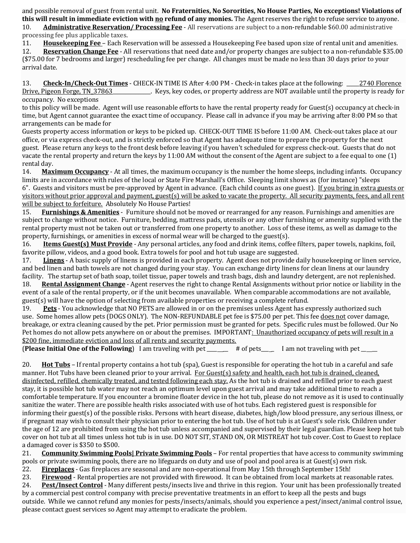and possible removal of guest from rental unit. **No Fraternities, No Sororities, No House Parties, No exceptions! Violations of this will result in immediate eviction with no refund of any monies.** The Agent reserves the right to refuse service to anyone.

10. **Administrative Reservation/ Processing Fee** - All reservations are subject to a non-refundable \$60.00 administrative processing fee plus applicable taxes.

11. **Housekeeping Fee** – Each Reservation will be assessed a Housekeeping Fee based upon size of rental unit and amenities.

12. **Reservation Change Fee** - All reservations that need date and/or property changes are subject to a non-refundable \$35.00 (\$75.00 for 7 bedrooms and larger) rescheduling fee per change. All changes must be made no less than 30 days prior to your arrival date.

13. **Check-In/Check-Out Times** - CHECK-IN TIME IS After 4:00 PM - Check-in takes place at the following: \_\_\_\_\_2740 Florence Drive, Pigeon Forge, TN 37863 Keys, key codes, or property address are NOT available until the property is ready for occupancy. No exceptions

to this policy will be made. Agent will use reasonable efforts to have the rental property ready for Guest(s) occupancy at check-in time, but Agent cannot guarantee the exact time of occupancy. Please call in advance if you may be arriving after 8:00 PM so that arrangements can be made for

Guests property access information or keys to be picked up. CHECK-OUT TIME IS before 11:00 AM. Check-out takes place at our office, or via express check-out, and is strictly enforced so that Agent has adequate time to prepare the property for the next guest. Please return any keys to the front desk before leaving if you haven't scheduled for express check-out. Guests that do not vacate the rental property and return the keys by 11:00 AM without the consent of the Agent are subject to a fee equal to one (1) rental day.

14. **Maximum Occupancy** - At all times, the maximum occupancy is the number the home sleeps, including infants. Occupancy limits are in accordance with rules of the local or State Fire Marshall's Office. Sleeping limit shows as (for instance) "sleeps 6". Guests and visitors must be pre-approved by Agent in advance. (Each child counts as one guest). If you bring in extra guests or visitors without prior approval and payment, guest(s) will be asked to vacate the property. All security payments, fees, and all rent will be subject to forfeiture. Absolutely No House Parties!

15. **Furnishings & Amenities** - Furniture should not be moved or rearranged for any reason. Furnishings and amenities are subject to change without notice. Furniture, bedding, mattress pads, utensils or any other furnishing or amenity supplied with the rental property must not be taken out or transferred from one property to another. Loss of these items, as well as damage to the property, furnishings, or amenities in excess of normal wear will be charged to the guest(s).

16. **Items Guest(s) Must Provide** - Any personal articles, any food and drink items, coffee filters, paper towels, napkins, foil, favorite pillow, videos, and a good book. Extra towels for pool and hot tub usage are suggested.

17. **Linens** - A basic supply of linens is provided in each property. Agent does not provide daily housekeeping or linen service, and bed linen and bath towels are not changed during your stay. You can exchange dirty linens for clean linens at our laundry facility. The startup set of bath soap, toilet tissue, paper towels and trash bags, dish and laundry detergent, are not replenished. 18. **Rental Assignment Change** - Agent reserves the right to change Rental Assignments without prior notice or liability in the event of a sale of the rental property, or if the unit becomes unavailable. When comparable accommodations are not available, guest(s) will have the option of selecting from available properties or receiving a complete refund.

19. **Pets** - You acknowledge that NO PETS are allowed in or on the premises unless Agent has expressly authorized such use. Some homes allow pets (DOGS ONLY). The NON-REFUNDABLE pet fee is \$75.00 per pet. This fee does not cover damage, breakage, or extra cleaning caused by the pet. Prior permission must be granted for pets. Specific rules must be followed. Our No Pet homes do not allow pets anywhere on or about the premises. IMPORTANT: Unauthorized occupancy of pets will result in a \$200 fine, immediate eviction and loss of all rents and security payments.

**(Please Initial One of the Following)** I am traveling with pet \_\_\_\_\_ # of pets\_\_\_\_ I am not traveling with pet \_\_\_\_

20. **Hot Tubs** – If rental property contains a hot tub (spa), Guest is responsible for operating the hot tub in a careful and safe manner. Hot Tubs have been cleaned prior to your arrival. For Guest(s) safety and health, each hot tub is drained, cleaned, disinfected, refilled, chemically treated, and tested following each stay. As the hot tub is drained and refilled prior to each guest stay, it is possible hot tub water may not reach an optimum level upon guest arrival and may take additional time to reach a comfortable temperature. If you encounter a bromine floater device in the hot tub, please do not remove as it is used to continually sanitize the water. There are possible health risks associated with use of hot tubs. Each registered guest is responsible for informing their guest(s) of the possible risks. Persons with heart disease, diabetes, high/low blood pressure, any serious illness, or if pregnant may wish to consult their physician prior to entering the hot tub. Use of hot tub is at Guest's sole risk. Children under the age of 12 are prohibited from using the hot tub unless accompanied and supervised by their legal guardian. Please keep hot tub cover on hot tub at all times unless hot tub is in use. DO NOT SIT, STAND ON, OR MISTREAT hot tub cover. Cost to Guest to replace a damaged cover is \$350 to \$500.

21. **Community Swimming Pools| Private Swimming Pools** – For rental properties that have access to community swimming pools or private swimming pools, there are no lifeguards on duty and use of pool and pool area is at Guest(s) own risk.

22. **Fireplaces** - Gas fireplaces are seasonal and are non-operational from May 15th through September 15th!

23. **Firewood** - Rental properties are not provided with firewood. It can be obtained from local markets at reasonable rates.

24. **Pest/Insect Control** - Many different pests/insects live and thrive in this region. Your unit has been professionally treated by a commercial pest control company with precise preventative treatments in an effort to keep all the pests and bugs outside. While we cannot refund any monies for pests/insects/animals, should you experience a pest/insect/animal control issue, please contact guest services so Agent may attempt to eradicate the problem.